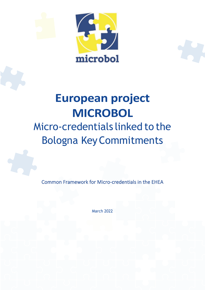

# **European project MICROBOL**

# Micro-credentials linked to the Bologna KeyCommitments

Common Framework for Micro-credentials in the EHEA

March 2022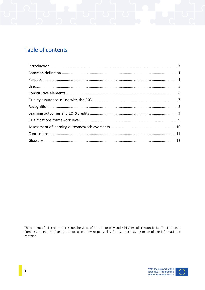# Table of contents

The content of this report represents the views of the author only and is his/her sole responsibility. The European Commission and the Agency do not accept any responsibility for use that may be made of the information it contains.

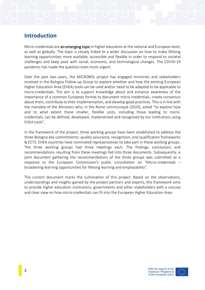### <span id="page-2-0"></span>**Introduction**

Micro-credentials are an emerging topic in higher education at the national and European level, as well as globally. The topic is closely linked to a wider discussion on how to make lifelong learning opportunities more available, accessible and flexible in order to respond to societal challenges and keep pace with social, economic, and technological changes. The COVID-19 pandemic has made the question even more urgent.

Over the past two years, the MICROBOL project has engaged ministries and stakeholders involved in the Bologna Follow-up Group to explore whether and how the existing European Higher Education Area (EHEA) tools can be used and/or need to be adapted to be applicable to micro-credentials. The aim is to support knowledge about and enhance awareness of the importance of a common European format to document micro-credentials, create consensus about them, contribute to their implementation, and develop good practices. This is in line with the mandate of the Ministers who, in the Rome communiqué (2020), asked "to explore how and to what extent these smaller, flexible units, including those leading to microcredentials, can be defined, developed, implemented and recognised by our institutions using EHEA tools".

In the framework of the project, three working groups have been established to address the three Bologna key commitments: quality assurance, recognition, and qualification frameworks & ECTS. EHEA countries have nominated representatives to take part in these working groups. The three working groups had three meetings each. The findings, conclusions and recommendations resulting from these meetings fed into three documents. Subsequently, a joint document gathering the recommendations of the three groups was submitted as a response to the European Commission's public consultation on "Micro-credentials – broadening learning opportunities for lifelong learning and employability".

The current document marks the culmination of this project. Based on the observations, understandings and insights gained by the project partners and experts, this framework aims to provide higher education institutions, governments and other stakeholders with a concise and clear view on how micro-credentials can fit into the European Higher Education Area.



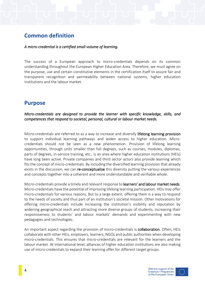# <span id="page-3-0"></span>**Common definition**

#### *A micro-credential is a certified small volume of learning.*

The success of a European approach to micro-credentials depends on its common understanding throughout the European Higher Education Area. Therefore, we must agree on the purpose, use and certain constitutive elements in the certification itself to assure fair and transparent recognition and permeability between national systems, higher education institutions and the labour market.

#### <span id="page-3-1"></span>**Purpose**

*Micro-credentials are designed to provide the learner with specific knowledge, skills, and competences that respond to societal, personal, cultural or labour market needs.* 

Micro-credentials are referred to as a way to increase and diversify lifelong learning provision to support individual learning pathways and widen access to higher education. Microcredentials should not be seen as a new phenomenon. Provision of lifelong learning opportunities, through units smaller than full degrees, such as courses, modules, diplomas, parts of degrees, in-service training, etc., is an area where higher education institutions (HEIs) have long been active. Private companies and third sector actors also provide learning which fits the concept of micro-credentials. By including the diversified learning provision that already exists in the discussion, we can re-conceptualise this diversity putting the various experiences and concepts together into a coherent and more understandable and verifiable whole.

Micro-credentials provide a timely and relevant response to learners' and labour market needs. Micro-credentials have the potential of improving lifelong learning participation. HEIs may offer micro-credentials for various reasons. But to a large extent, offering them is a way to respond to the needs of society and thus part of an institution's societal mission. Other motivations for offering micro-credentials include increasing the institution's visibility and reputation by widening geographical reach and attracting more diverse groups of students; increasing their responsiveness to students' and labour markets' demands and experimenting with new pedagogies and technologies.

An important aspect regarding the provision of micro-credentials is **collaboration**. Often, HEIs collaborate with other HEIs, employers, learners, NGOs and public authorities when developing micro-credentials. This ensures that micro-credentials are relevant for the learners and the labour market. At international level, alliances of higher education institutions are also making use of micro-credentials to expand their learning offer for different target groups.



4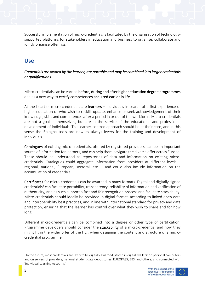Successful implementation of micro-credentials is facilitated by the organisation of technologysupported platforms for stakeholders in education and business to organise, collaborate and jointly organise offerings.

# <span id="page-4-0"></span>**Use**

*Credentials are owned by the learner, are portable and may be combined into larger credentials or qualifications.* 

Micro-credentials can be earned before, during and after higher education degree programmes and as a new way to certify competences acquired earlier in life.

At the heart of micro-credentials are learners – individuals in search of a first experience of higher education or who wish to reskill, update, enhance or seek acknowledgement of their knowledge, skills and competences after a period in or out of the workforce. Micro-credentials are not a goal in themselves, but are at the service of the educational and professional development of individuals. This learner-centred approach should be at their core, and in this sense the Bologna tools are now as always levers for the training and development of individuals.

Catalogues of existing micro-credentials, offered by registered providers, can be an important source of information for learners, and can help them navigate the diverse offer across Europe. These should be understood as repositories of data and information on existing microcredentials. Catalogues could aggregate information from providers at different levels – regional, national, European, sectoral, etc. – and could also include information on the accumulation of credentials.

Certificates for micro-credentials can be awarded in many formats. Digital and digitally signed credentials*<sup>1</sup>* can facilitate portability, transparency, reliability of information and verification of authenticity, and as such support a fast and fair recognition process and facilitate stackability. Micro-credentials should ideally be provided in digital format, according to linked open data and interoperability best practices, and in line with international standard for privacy and data protection, ensuring that the learner has control over what they wish to share and for how long.

Different micro-credentials can be combined into a degree or other type of certification. Programme developers should consider the stackability of a micro-credential and how they might fit in the wider offer of the HEI, when designing the content and structure of a microcredential programme.

 $1$ In the future, most credentials are likely to be digitally awarded, stored in digital 'wallets' on personal computers and on servers of providers, national student data depositories, EUROPASS, EBSI and others, and connected with 'Individual Learning Accounts'.





5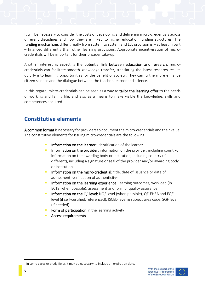It will be necessary to consider the costs of developing and delivering micro-credentials across different disciplines and how they are linked to higher education funding structures. The funding mechanisms differ greatly from system to system and LLL provision is – at least in part – financed differently than other learning provisions. Appropriate incentivisation of microcredentials will be important for their broader take-up.

Another interesting aspect is the potential link between education and research: microcredentials can facilitate smooth knowledge transfer, translating the latest research results quickly into learning opportunities for the benefit of society. They can furthermore enhance citizen science and the dialogue between the teacher, learner and science.

In this regard, micro-credentials can be seen as a way to **tailor the learning offer** to the needs of working and family life, and also as a means to make visible the knowledge, skills and competences acquired.

# <span id="page-5-0"></span>**Constitutive elements**

A common format is necessary for providers to document the micro-credentials and their value. The constitutive elements for issuing micro-credentials are the following:

- Information on the learner: identification of the learner
- Information on the provider: information on the provider, including country: information on the awarding body or institution, including country (if different), including a signature or seal of the provider and/or awarding body or institution
- Information on the micro-credential: title, date of issuance or date of assessment, verification of authenticity<sup>2</sup>
- Information on the learning experience: learning outcomes, workload (in ECTS, when possible), assessment and form of quality assurance
- Information on the QF level: NQF level (when possible), QF-EHEA and EQF level (if self-certified/referenced), ISCED level & subject area code, SQF level (if needed)
- Form of participation in the learning activity
- <span id="page-5-1"></span>Access requirements



 $2$  In some cases or study fields it may be necessary to include an expiration date.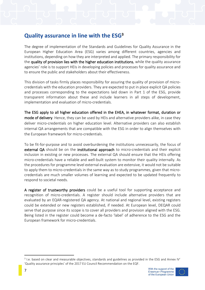# **Quality assurance in line with the ESG<sup>3</sup>**

The degree of implementation of the Standards and Guidelines for Quality Assurance in the European Higher Education Area (ESG) varies among different countries, agencies and institutions, depending on how they are interpreted and applied. The primary responsibility for the quality of provision lies with the higher education institutions, while the quality assurance agencies' role is to support HEIs in developing policies and processes for quality assurance and to ensure the public and stakeholders about their effectiveness.

This division of tasks firmly places responsibility for assuring the quality of provision of microcredentials with the education providers. They are expected to put in place explicit QA policies and processes corresponding to the expectations laid down in Part 1 of the ESG, provide transparent information about these and include learners in all steps of development, implementation and evaluation of micro-credentials.

The ESG apply to all higher education offered in the EHEA, in whatever format, duration or mode of delivery. Hence, they can be used by HEIs and alternative providers alike, in case they deliver micro-credentials on higher education level. Alternative providers can also establish internal QA arrangements that are compatible with the ESG in order to align themselves with the European framework for micro-credentials.

To be fit-for-purpose and to avoid overburdening the institutions unnecessarily, the focus of external QA should be on the institutional approach to micro-credentials and their explicit inclusion in existing or new processes. The external QA should ensure that the HEIs offering micro-credentials have a reliable and well-built system to monitor their quality internally. As the procedures for programme level external evaluation are extensive, it would not be suitable to apply them to micro-credentials in the same way as to study programmes, given that microcredentials are much smaller volumes of learning and expected to be updated frequently to respond to societal needs.

A register of trustworthy providers could be a useful tool for supporting acceptance and recognition of micro-credentials. A register should include alternative providers that are evaluated by an EQAR-registered QA agency. At national and regional level, existing registers could be extended or new registers established, if needed. At European level, DEQAR could serve that purpose since its scope is to cover all providers and provision aligned with the ESG. Being listed in the register could become a de-facto 'label' of adherence to the ESG and the European framework for micro-credentials.

<span id="page-6-0"></span> $3$  I.e. based on clear and measurable objectives, standards and guidelines as provided in the ESG and Annex IV' 'Quality assurance principles' of the 2017 EU Council Recommendation on the EQF.



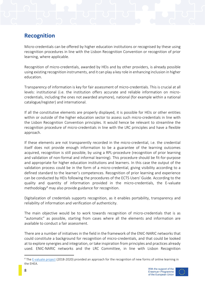# **Recognition**

Micro-credentials can be offered by higher education institutions or recognised by these using recognition procedures in line with the Lisbon Recognition Convention or recognition of prior learning, where applicable.

Recognition of micro-credentials, awarded by HEIs and by other providers, is already possible using existing recognition instruments, and it can play a key role in enhancing inclusion in higher education.

Transparency of information is key for fair assessment of micro-credentials. This is crucial at all levels: institutional (i.e. the institution offers accurate and reliable information on microcredentials, including the ones not awarded anymore), national (for example within a national catalogue/register) and international.

If all the constitutive elements are properly displayed, it is possible for HEIs or other entities within or outside of the higher education sector to assess such micro-credentials in line with the Lisbon Recognition Convention principles. It would hence be relevant to streamline the recognition procedure of micro-credentials in line with the LRC principles and have a flexible approach.

If these elements are not transparently recorded in the micro-credential, i.e. the credential itself does not provide enough information to be a guarantee of the learning outcomes acquired, recognition is still possible, by using a RPL-procedure (recognition of prior learning and validation of non-formal and informal learning). This procedure should be fit-for-purpose and appropriate for higher education institutions and learners. In this case the output of the validation process could be in the form of a micro-credential, giving visibility according to a defined standard to the learner's competences. Recognition of prior learning and experience can be conducted by HEIs following the procedures of the ECTS Users' Guide. According to the quality and quantity of information provided in the micro-credentials, the E-valuate methodology<sup>4</sup> may also provide guidance for recognition.

Digitalization of credentials supports recognition, as it enables portability, transparency and reliability of information and verification of authenticity.

The main objective would be to work towards recognition of micro-credentials that is as "automatic" as possible, starting from cases where all the elements and information are available to conduct a fair assessment.

There are a number of initiatives in the field in the framework of the ENIC-NARIC networks that could constitute a background for recognition of micro-credentials, and that could be looked at to explore synergies and integration, or take inspiration from principles and practices already used. ENIC-NARIC networks and the LRC Committee, in line with Lisbon Recognition

<sup>&</sup>lt;sup>4</sup> Th[e E-valuate project](https://www.nuffic.nl/en/subjects/recognition-projects/e-valuate-concluded) (2018-2020) provided an approach for the recognition of new forms of online learning in the EHEA.

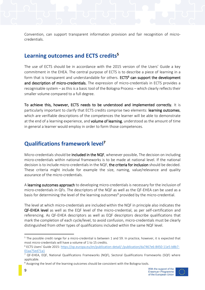Convention, can support transparent information provision and fair recognition of microcredentials.

#### <span id="page-8-0"></span>**Learning outcomes and ECTS credits<sup>5</sup>**

The use of ECTS should be in accordance with the 2015 version of the Users' Guide a key commitment in the EHEA. The central purpose of ECTS is to describe a piece of learning in a form that is transparent and understandable for others. ECTS<sup>6</sup> can support the development and description of micro-credentials. The expression of micro-credentials in ECTS provides a recognisable system – as this is a basic tool of the Bologna Process – which clearly reflects their smaller volume compared to a full degree.

To achieve this, however, ECTS needs to be understood and implemented correctly. It is particularly important to clarify that ECTS credits comprise two elements: learning outcomes, which are verifiable descriptions of the competences the learner will be able to demonstrate at the end of a learning experience, and **volume of learning**, understood as the amount of time in general a learner would employ in order to form those competences.

### <span id="page-8-1"></span>**Qualifications framework level<sup>7</sup>**

Micro-credentials should be **included in the NQF**, whenever possible. The decision on including micro-credentials within national frameworks is to be made at national level. If the national decision is to include micro-credentials in the NQF, the criteria for inclusion should be decided. These criteria might include for example the size, naming, value/relevance and quality assurance of the micro-credentials.

A learning outcomes approach to developing micro-credentials is necessary for the inclusion of micro-credentials in QFs. The descriptors of the NQF as well as the QF-EHEA can be used as a basis for determining the level of the learning outcomes<sup>8</sup> provided by the micro-credential.

The level at which micro-credentials are included within the NQF in principle also indicates the QF-EHEA level as well as the EQF level of the micro-credential, as per self-certification and referencing. As QF-EHEA descriptors as well as EQF descriptors describe qualifications that mark the completion of each cycle/level, to avoid confusion, micro-credentials must be clearly distinguished from other types of qualifications included within the same NQF level.



<sup>&</sup>lt;sup>5</sup> The possible credit range for a micro-credential is between 1 and 59. In practice, however, it is expected that most micro-credentials will have a volume of 1 to 15 credits.

<sup>6</sup> ECTS Users' Guide 2015: [https://op.europa.eu/en/publication-detail/-/publication/da7467e6-8450-11e5-b8b7-](https://op.europa.eu/en/publication-detail/-/publication/da7467e6-8450-11e5-b8b7-01aa75ed71a1) [01aa75ed71a1](https://op.europa.eu/en/publication-detail/-/publication/da7467e6-8450-11e5-b8b7-01aa75ed71a1)

<sup>&</sup>lt;sup>7</sup> QF-EHEA, EQF, National Qualifications Frameworks (NQF), Sectoral Qualifications Frameworks (SQF) where applicable.

<sup>&</sup>lt;sup>8</sup> Assigning the level of the learning outcomes should be consistent with the Bologna tools.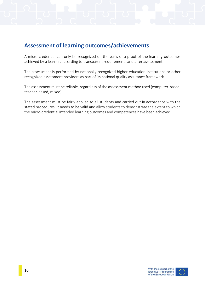# <span id="page-9-0"></span>**Assessment of learning outcomes/achievements**

A micro-credential can only be recognized on the basis of a proof of the learning outcomes achieved by a learner, according to transparent requirements and after assessment.

The assessment is performed by nationally recognized higher education institutions or other recognized assessment providers as part of its national quality assurance framework.

The assessment must be reliable, regardless of the assessment method used (computer-based, teacher-based, mixed).

The assessment must be fairly applied to all students and carried out in accordance with the stated procedures. It needs to be valid and allow students to demonstrate the extent to which the micro-credential intended learning outcomes and competences have been achieved.



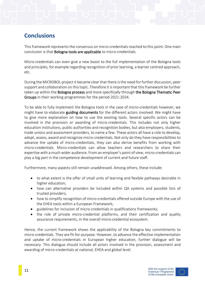# <span id="page-10-0"></span>**Conclusions**

This framework represents the consensus on micro-credentialsreached to this point. One main conclusion is that Bologna tools are applicable to micro-credentials.

Micro-credentials can even give a new boost to the full implementation of the Bologna tools and principles, for example regarding recognition of prior learning, a learner centred approach, etc.

During the MICROBOL project it became clear that there isthe need for further discussion, peer support and collaboration on this topic. Therefore it is important that this framework be further taken up within the **Bologna process** and more specifically through the Bologna Thematic Peer Groups in their working programmes for the period 2021-2024.

To be able to fully implement the Bologna tools in the case of micro-credentials however, we might have to elaborate guiding documents for the different actors involved. We might have to give more explanation on how to use the existing tools. Several specific actors can be involved in the provision or awarding of micro-credentials. This includes not only higher education institutions, public authorities and recognition bodies, but also employers, students, trade unions and assessment providers, to name a few. These actors all have a role to develop, adopt, assess, award and recognize micro-credentials. Not only do they have responsibilities to advance the uptake of micro-credentials, they can also derive benefits from working with micro-credentials. Micro-credentials can allow teachers and researchers to share their expertise with a much wider audience. From an employer's point of view, micro-credentials can play a big part in the competence development of current and future staff.

Furthermore, many aspects still remain unaddressed. Among others, these include:

- to what extent is the offer of small units of learning and flexible pathways desirable in higher education;
- how can alternative providers be included within QA systems and possible lists of trusted providers;
- how to simplify recognition of micro-credentials offered outside Europe with the use of the EHEA tools within a European Framework;
- guidelines for inclusion of micro-credentials in qualifications frameworks;
- the role of private micro-credential platforms, and their certification and quality assurance requirements, in the overall micro-credential ecosystem.

Hence, the current framework shows the applicability of the Bologna key commitments to micro-credentials. They are fit-for-purpose. However, to advance the effective implementation and uptake of micro-credentials in European higher education, further dialogue will be necessary. This dialogue should include all actors involved in the provision, assessment and awarding of micro-credentials at national, EHEA and global level.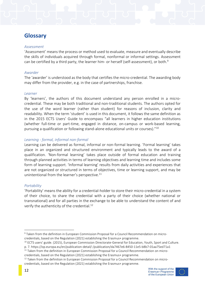# <span id="page-11-0"></span>**Glossary**

#### *Assessment*

'Assessment' means the process or method used to evaluate, measure and eventually describe the skills of individuals acquired through formal, nonformal or informal settings. Assessment can be certified by a third party, the learner him- or herself (self-assessment), or both.<sup>9</sup>

#### *Awarder*

The 'awarder' is understood as the body that certifies the micro-credential. The awarding body may differ from the provider, e.g. in the case of partnerships, franchise.

#### *Learner*

By 'learners', the authors of this document understand any person enrolled in a microcredential. These may be both traditional and non-traditional students. The authors opted for the use of the word learner (rather than student) for reasons of inclusion, clarity and readability. When the term 'student' is used in this document, it follows the same definition as in the 2015 ECTS Users' Guide to encompass "all learners in higher education institutions (whether full-time or part-time, engaged in distance, on-campus or work-based learning, pursuing a qualification or following stand-alone educational units or courses)."<sup>10</sup>

#### *Learning - formal, informal non-formal*

Learning can be delivered as formal, informal or non-formal learning. 'Formal learning' takes place in an organized and structured environment and typically leads to the award of a qualification. 'Non-formal learning' takes place outside of formal education and training through planned activities in terms of learning objectives and learning time and includes some form of learning support. 'Informal learning' results from daily activities and experiences that are not organized or structured in terms of objectives, time or learning support, and may be unintentional from the learner's perspective.<sup>11</sup>

#### *Portability*

'Portability' means the ability for a credential-holder to store their micro-credential in a system of their choice, to share the credential with a party of their choice (whether national or transnational) and for all parties in the exchange to be able to understand the content of and verify the authenticity of the credential.<sup>12</sup>

<sup>&</sup>lt;sup>12</sup> Taken from the definition in European Commission Proposal for a Council Recommendation on microcredentials, based on the Regulation (2021) establishing the Erasmus+ programme.





<sup>9</sup> Taken from the definition in European Commission Proposal for a Council Recommendation on microcredentials, based on the Regulation (2021) establishing the Erasmus+ programme.

<sup>&</sup>lt;sup>10</sup> ECTS users' guide. (2015), European Commission Directorate-General for Education, Youth, Sport and Culture.

p. 7. https://op.europa.eu/en/publication-detail/-/publication/da7467e6-8450-11e5-b8b7-01aa75ed71a1 <sup>11</sup> Taken from the definition in European Commission Proposal for a Council Recommendation on micro-

credentials, based on the Regulation (2021) establishing the Erasmus+ programme.